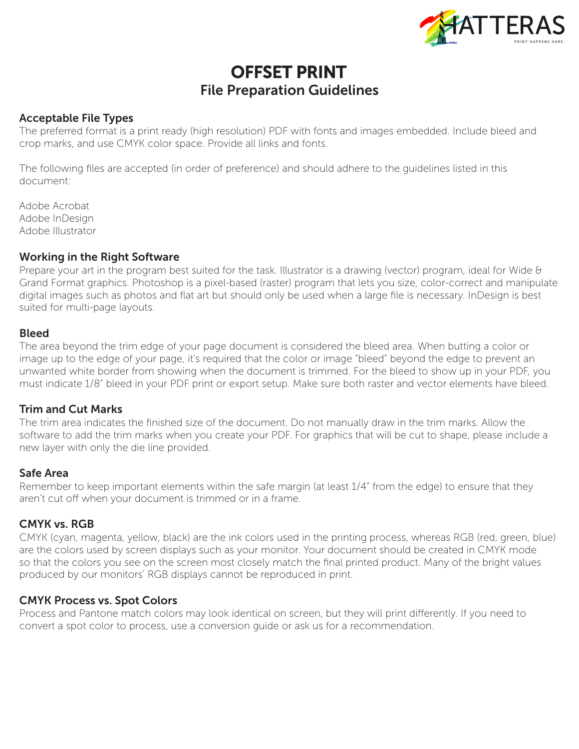

# OFFSET PRINT File Preparation Guidelines

#### Acceptable File Types

The preferred format is a print ready (high resolution) PDF with fonts and images embedded. Include bleed and crop marks, and use CMYK color space. Provide all links and fonts.

The following files are accepted (in order of preference) and should adhere to the guidelines listed in this document:

Adobe Acrobat Adobe InDesign Adobe Illustrator

#### Working in the Right Software

Prepare your art in the program best suited for the task. Illustrator is a drawing (vector) program, ideal for Wide & Grand Format graphics. Photoshop is a pixel-based (raster) program that lets you size, color-correct and manipulate digital images such as photos and flat art but should only be used when a large file is necessary. InDesign is best suited for multi-page layouts.

#### Bleed

The area beyond the trim edge of your page document is considered the bleed area. When butting a color or image up to the edge of your page, it's required that the color or image "bleed" beyond the edge to prevent an unwanted white border from showing when the document is trimmed. For the bleed to show up in your PDF, you must indicate 1/8" bleed in your PDF print or export setup. Make sure both raster and vector elements have bleed.

#### Trim and Cut Marks

The trim area indicates the finished size of the document. Do not manually draw in the trim marks. Allow the software to add the trim marks when you create your PDF. For graphics that will be cut to shape, please include a new layer with only the die line provided.

#### Safe Area

Remember to keep important elements within the safe margin (at least 1/4" from the edge) to ensure that they aren't cut off when your document is trimmed or in a frame.

### CMYK vs. RGB

CMYK (cyan, magenta, yellow, black) are the ink colors used in the printing process, whereas RGB (red, green, blue) are the colors used by screen displays such as your monitor. Your document should be created in CMYK mode so that the colors you see on the screen most closely match the final printed product. Many of the bright values produced by our monitors' RGB displays cannot be reproduced in print.

#### CMYK Process vs. Spot Colors

Process and Pantone match colors may look identical on screen, but they will print differently. If you need to convert a spot color to process, use a conversion guide or ask us for a recommendation.